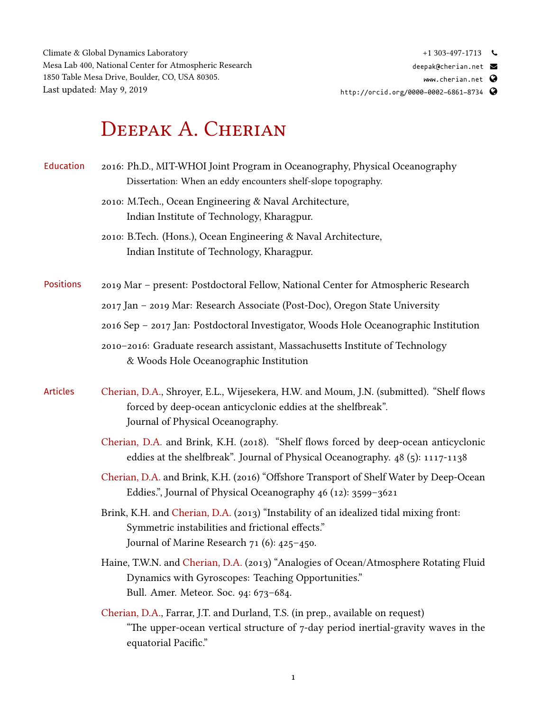Climate & Global Dynamics Laboratory Mesa Lab 400, National Center for Atmospheric Research 1850 Table Mesa Drive, Boulder, CO, USA 80305. Last updated: May 9, 2019

## $+1$  303-497-1713

[deepak@cherian.net](mailto:deepak@cherian.net)

<www.cherian.net>  $\mathbf Q$ 

<http://orcid.org/0000-0002-6861-8734>

## DEEPAK A. CHERIAN

- Education 2016: Ph.D., MIT-WHOI Joint Program in Oceanography, Physical Oceanography Dissertation: When an eddy encounters shelf-slope topography.
	- 2010: M.Tech., Ocean Engineering & Naval Architecture, Indian Institute of Technology, Kharagpur.
	- 2010: B.Tech. (Hons.), Ocean Engineering & Naval Architecture, Indian Institute of Technology, Kharagpur.
- Positions 2019 Mar present: Postdoctoral Fellow, National Center for Atmospheric Research
	- 2017 Jan 2019 Mar: Research Associate (Post-Doc), Oregon State University
	- 2016 Sep 2017 Jan: Postdoctoral Investigator, Woods Hole Oceanographic Institution
	- 2010–2016: Graduate research assistant, Massachusetts Institute of Technology & Woods Hole Oceanographic Institution
- Articles Cherian, D.A., Shroyer, E.L., Wijesekera, H.W. and Moum, J.N. (submitted). "Shelf flows forced by deep-ocean anticyclonic eddies at the shelfbreak". Journal of Physical Oceanography.
	- Cherian, D.A. and Brink, K.H. (2018). "Shelf flows forced by deep-ocean anticyclonic eddies at the shelfbreak". Journal of Physical Oceanography. 48 (5): 1117-1138
	- Cherian, D.A. and Brink, K.H. (2016) "Offshore Transport of Shelf Water by Deep-Ocean Eddies.", Journal of Physical Oceanography 46 (12): 3599–3621
	- Brink, K.H. and Cherian, D.A. (2013) "Instability of an idealized tidal mixing front: Symmetric instabilities and frictional effects." Journal of Marine Research 71 (6): 425–450.
	- Haine, T.W.N. and Cherian, D.A. (2013) "Analogies of Ocean/Atmosphere Rotating Fluid Dynamics with Gyroscopes: Teaching Opportunities." Bull. Amer. Meteor. Soc. 94: 673–684.
	- Cherian, D.A., Farrar, J.T. and Durland, T.S. (in prep., available on request) "The upper-ocean vertical structure of 7-day period inertial-gravity waves in the equatorial Pacific."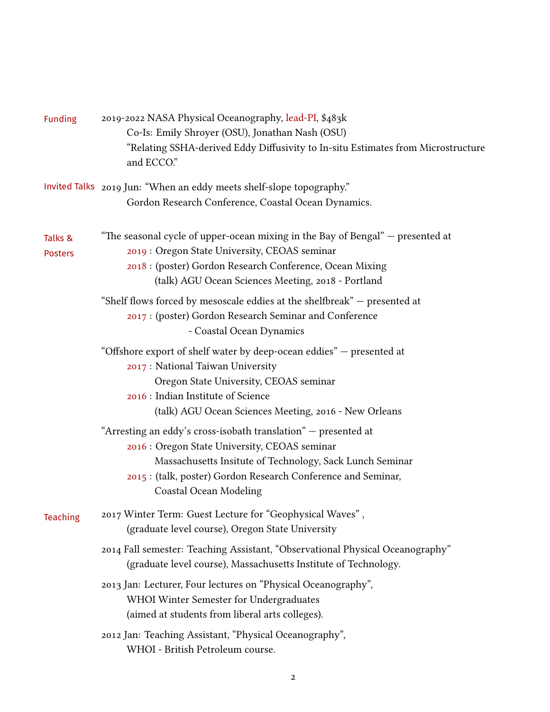| <b>Funding</b>            | 2019-2022 NASA Physical Oceanography, lead-PI, \$483k<br>Co-Is: Emily Shroyer (OSU), Jonathan Nash (OSU)<br>"Relating SSHA-derived Eddy Diffusivity to In-situ Estimates from Microstructure<br>and ECCO."                                                                    |
|---------------------------|-------------------------------------------------------------------------------------------------------------------------------------------------------------------------------------------------------------------------------------------------------------------------------|
|                           | Invited Talks 2019 Jun: "When an eddy meets shelf-slope topography."<br>Gordon Research Conference, Coastal Ocean Dynamics.                                                                                                                                                   |
| Talks &<br><b>Posters</b> | "The seasonal cycle of upper-ocean mixing in the Bay of Bengal" — presented at<br>2019 : Oregon State University, CEOAS seminar<br>2018 : (poster) Gordon Research Conference, Ocean Mixing<br>(talk) AGU Ocean Sciences Meeting, 2018 - Portland                             |
|                           | "Shelf flows forced by mesoscale eddies at the shelfbreak" – presented at<br>2017 : (poster) Gordon Research Seminar and Conference<br>- Coastal Ocean Dynamics                                                                                                               |
|                           | "Offshore export of shelf water by deep-ocean eddies" - presented at<br>2017 : National Taiwan University<br>Oregon State University, CEOAS seminar<br>2016 : Indian Institute of Science<br>(talk) AGU Ocean Sciences Meeting, 2016 - New Orleans                            |
|                           | "Arresting an eddy's cross-isobath translation" - presented at<br>2016 : Oregon State University, CEOAS seminar<br>Massachusetts Insitute of Technology, Sack Lunch Seminar<br>2015 : (talk, poster) Gordon Research Conference and Seminar,<br><b>Coastal Ocean Modeling</b> |
| Teaching                  | 2017 Winter Term: Guest Lecture for "Geophysical Waves",<br>(graduate level course), Oregon State University                                                                                                                                                                  |
|                           | 2014 Fall semester: Teaching Assistant, "Observational Physical Oceanography"<br>(graduate level course), Massachusetts Institute of Technology.                                                                                                                              |
|                           | 2013 Jan: Lecturer, Four lectures on "Physical Oceanography",<br>WHOI Winter Semester for Undergraduates<br>(aimed at students from liberal arts colleges).                                                                                                                   |
|                           | 2012 Jan: Teaching Assistant, "Physical Oceanography",<br>WHOI - British Petroleum course.                                                                                                                                                                                    |